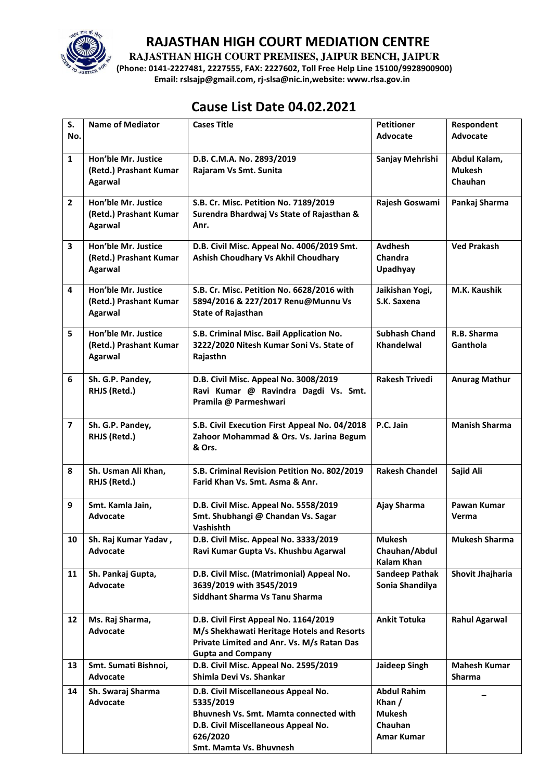

**RAJASTHAN HIGH COURT PREMISES, JAIPUR BENCH, JAIPUR** 

**(Phone: 0141-2227481, 2227555, FAX: 2227602, Toll Free Help Line 15100/9928900900) Email: rslsajp@gmail.com, rj-slsa@nic.in,website: www.rlsa.gov.in** 

# **Cause List Date 04.02.2021**

| S.<br>No.      | <b>Name of Mediator</b>                                         | <b>Cases Title</b>                                                                                                                                                       | <b>Petitioner</b><br>Advocate                                                   | Respondent<br><b>Advocate</b>            |
|----------------|-----------------------------------------------------------------|--------------------------------------------------------------------------------------------------------------------------------------------------------------------------|---------------------------------------------------------------------------------|------------------------------------------|
| $\mathbf{1}$   | Hon'ble Mr. Justice<br>(Retd.) Prashant Kumar<br><b>Agarwal</b> | D.B. C.M.A. No. 2893/2019<br>Rajaram Vs Smt. Sunita                                                                                                                      | Sanjay Mehrishi                                                                 | Abdul Kalam,<br><b>Mukesh</b><br>Chauhan |
| $\overline{2}$ | Hon'ble Mr. Justice<br>(Retd.) Prashant Kumar<br><b>Agarwal</b> | S.B. Cr. Misc. Petition No. 7189/2019<br>Surendra Bhardwaj Vs State of Rajasthan &<br>Anr.                                                                               | Rajesh Goswami                                                                  | Pankaj Sharma                            |
| 3              | Hon'ble Mr. Justice<br>(Retd.) Prashant Kumar<br><b>Agarwal</b> | D.B. Civil Misc. Appeal No. 4006/2019 Smt.<br>Ashish Choudhary Vs Akhil Choudhary                                                                                        | Avdhesh<br><b>Chandra</b><br>Upadhyay                                           | <b>Ved Prakash</b>                       |
| 4              | Hon'ble Mr. Justice<br>(Retd.) Prashant Kumar<br><b>Agarwal</b> | S.B. Cr. Misc. Petition No. 6628/2016 with<br>5894/2016 & 227/2017 Renu@Munnu Vs<br><b>State of Rajasthan</b>                                                            | Jaikishan Yogi,<br>S.K. Saxena                                                  | M.K. Kaushik                             |
| 5              | Hon'ble Mr. Justice<br>(Retd.) Prashant Kumar<br><b>Agarwal</b> | S.B. Criminal Misc. Bail Application No.<br>3222/2020 Nitesh Kumar Soni Vs. State of<br>Rajasthn                                                                         | <b>Subhash Chand</b><br>Khandelwal                                              | R.B. Sharma<br>Ganthola                  |
| 6              | Sh. G.P. Pandey,<br>RHJS (Retd.)                                | D.B. Civil Misc. Appeal No. 3008/2019<br>Ravi Kumar @ Ravindra Dagdi Vs. Smt.<br>Pramila @ Parmeshwari                                                                   | <b>Rakesh Trivedi</b>                                                           | <b>Anurag Mathur</b>                     |
| $\overline{7}$ | Sh. G.P. Pandey,<br>RHJS (Retd.)                                | S.B. Civil Execution First Appeal No. 04/2018<br>Zahoor Mohammad & Ors. Vs. Jarina Begum<br>& Ors.                                                                       | P.C. Jain                                                                       | <b>Manish Sharma</b>                     |
| 8              | Sh. Usman Ali Khan,<br>RHJS (Retd.)                             | S.B. Criminal Revision Petition No. 802/2019<br>Farid Khan Vs. Smt. Asma & Anr.                                                                                          | <b>Rakesh Chandel</b>                                                           | Sajid Ali                                |
| 9              | Smt. Kamla Jain,<br><b>Advocate</b>                             | D.B. Civil Misc. Appeal No. 5558/2019<br>Smt. Shubhangi @ Chandan Vs. Sagar<br>Vashishth                                                                                 | Ajay Sharma                                                                     | Pawan Kumar<br>Verma                     |
| 10             | Sh. Raj Kumar Yadav,<br>Advocate                                | D.B. Civil Misc. Appeal No. 3333/2019<br>Ravi Kumar Gupta Vs. Khushbu Agarwal                                                                                            | <b>Mukesh</b><br>Chauhan/Abdul<br>Kalam Khan                                    | <b>Mukesh Sharma</b>                     |
| 11             | Sh. Pankaj Gupta,<br>Advocate                                   | D.B. Civil Misc. (Matrimonial) Appeal No.<br>3639/2019 with 3545/2019<br>Siddhant Sharma Vs Tanu Sharma                                                                  | <b>Sandeep Pathak</b><br>Sonia Shandilya                                        | <b>Shovit Jhajharia</b>                  |
| 12             | Ms. Raj Sharma,<br>Advocate                                     | D.B. Civil First Appeal No. 1164/2019<br>M/s Shekhawati Heritage Hotels and Resorts<br>Private Limited and Anr. Vs. M/s Ratan Das<br><b>Gupta and Company</b>            | <b>Ankit Totuka</b>                                                             | <b>Rahul Agarwal</b>                     |
| 13             | Smt. Sumati Bishnoi,<br>Advocate                                | D.B. Civil Misc. Appeal No. 2595/2019<br>Shimla Devi Vs. Shankar                                                                                                         | Jaideep Singh                                                                   | <b>Mahesh Kumar</b><br>Sharma            |
| 14             | Sh. Swaraj Sharma<br>Advocate                                   | D.B. Civil Miscellaneous Appeal No.<br>5335/2019<br>Bhuvnesh Vs. Smt. Mamta connected with<br>D.B. Civil Miscellaneous Appeal No.<br>626/2020<br>Smt. Mamta Vs. Bhuvnesh | <b>Abdul Rahim</b><br>Khan $/$<br><b>Mukesh</b><br>Chauhan<br><b>Amar Kumar</b> |                                          |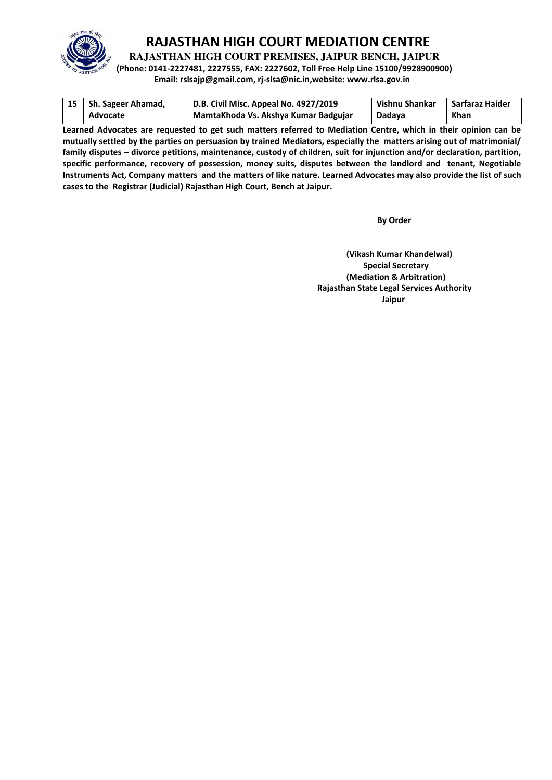

**RAJASTHAN HIGH COURT PREMISES, JAIPUR BENCH, JAIPUR** 

**(Phone: 0141-2227481, 2227555, FAX: 2227602, Toll Free Help Line 15100/9928900900)** 

**Email: rslsajp@gmail.com, rj-slsa@nic.in,website: www.rlsa.gov.in** 

| 15   Sh. Sageer Ahamad, | D.B. Civil Misc. Appeal No. 4927/2019 | Vishnu Shankar | Sarfaraz Haider |
|-------------------------|---------------------------------------|----------------|-----------------|
| Advocate                | MamtaKhoda Vs. Akshya Kumar Badgujar  | Dadava         | <b>Khan</b>     |

**Learned Advocates are requested to get such matters referred to Mediation Centre, which in their opinion can be mutually settled by the parties on persuasion by trained Mediators, especially the matters arising out of matrimonial/ family disputes – divorce petitions, maintenance, custody of children, suit for injunction and/or declaration, partition, specific performance, recovery of possession, money suits, disputes between the landlord and tenant, Negotiable Instruments Act, Company matters and the matters of like nature. Learned Advocates may also provide the list of such cases to the Registrar (Judicial) Rajasthan High Court, Bench at Jaipur.** 

 **By Order** 

**(Vikash Kumar Khandelwal) Special Secretary (Mediation & Arbitration) Rajasthan State Legal Services Authority**  ا **Jaipur** کار است که از این است که از این است که از این است که از این است که از این است که از این است که از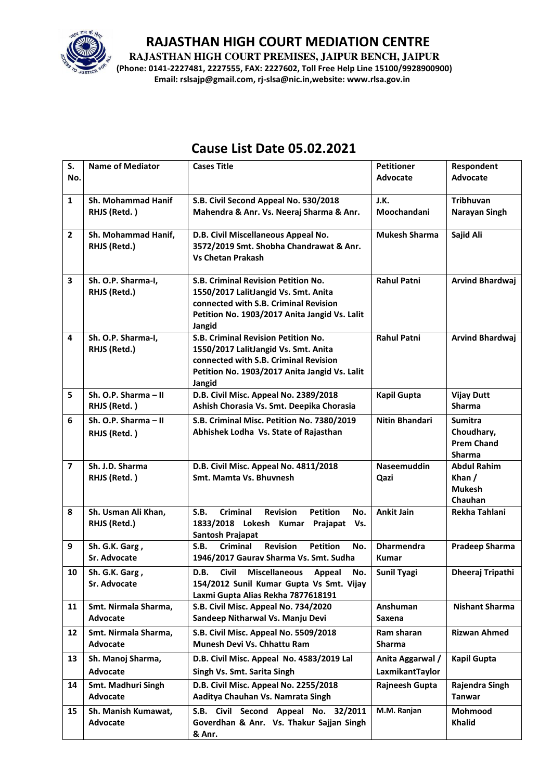

**RAJASTHAN HIGH COURT PREMISES, JAIPUR BENCH, JAIPUR** 

**(Phone: 0141-2227481, 2227555, FAX: 2227602, Toll Free Help Line 15100/9928900900) Email: rslsajp@gmail.com, rj-slsa@nic.in,website: www.rlsa.gov.in** 

| S.                      | <b>Name of Mediator</b>   | <b>Cases Title</b>                                                      | <b>Petitioner</b>     | Respondent                |
|-------------------------|---------------------------|-------------------------------------------------------------------------|-----------------------|---------------------------|
| No.                     |                           |                                                                         | <b>Advocate</b>       | Advocate                  |
|                         |                           |                                                                         |                       |                           |
| $\mathbf{1}$            | <b>Sh. Mohammad Hanif</b> | S.B. Civil Second Appeal No. 530/2018                                   | J.K.                  | <b>Tribhuvan</b>          |
|                         | RHJS (Retd.)              | Mahendra & Anr. Vs. Neeraj Sharma & Anr.                                | Moochandani           | Narayan Singh             |
|                         |                           |                                                                         |                       |                           |
| $\overline{2}$          | Sh. Mohammad Hanif,       | D.B. Civil Miscellaneous Appeal No.                                     | <b>Mukesh Sharma</b>  | Sajid Ali                 |
|                         | RHJS (Retd.)              | 3572/2019 Smt. Shobha Chandrawat & Anr.                                 |                       |                           |
|                         |                           | <b>Vs Chetan Prakash</b>                                                |                       |                           |
| 3                       | Sh. O.P. Sharma-I,        | S.B. Criminal Revision Petition No.                                     | <b>Rahul Patni</b>    | <b>Arvind Bhardwaj</b>    |
|                         | RHJS (Retd.)              | 1550/2017 LalitJangid Vs. Smt. Anita                                    |                       |                           |
|                         |                           | connected with S.B. Criminal Revision                                   |                       |                           |
|                         |                           | Petition No. 1903/2017 Anita Jangid Vs. Lalit                           |                       |                           |
|                         |                           | Jangid                                                                  |                       |                           |
| 4                       | Sh. O.P. Sharma-I,        | S.B. Criminal Revision Petition No.                                     | <b>Rahul Patni</b>    | <b>Arvind Bhardwaj</b>    |
|                         | RHJS (Retd.)              | 1550/2017 LalitJangid Vs. Smt. Anita                                    |                       |                           |
|                         |                           | connected with S.B. Criminal Revision                                   |                       |                           |
|                         |                           | Petition No. 1903/2017 Anita Jangid Vs. Lalit                           |                       |                           |
|                         |                           | Jangid                                                                  |                       |                           |
| 5                       | Sh. O.P. Sharma - II      | D.B. Civil Misc. Appeal No. 2389/2018                                   | <b>Kapil Gupta</b>    | <b>Vijay Dutt</b>         |
|                         | RHJS (Retd.)              | Ashish Chorasia Vs. Smt. Deepika Chorasia                               |                       | <b>Sharma</b>             |
| 6                       | Sh. O.P. Sharma - II      | S.B. Criminal Misc. Petition No. 7380/2019                              | <b>Nitin Bhandari</b> | <b>Sumitra</b>            |
|                         | RHJS (Retd.)              | Abhishek Lodha Vs. State of Rajasthan                                   |                       | Choudhary,                |
|                         |                           |                                                                         |                       | <b>Prem Chand</b>         |
|                         |                           |                                                                         |                       | <b>Sharma</b>             |
| $\overline{\mathbf{z}}$ | Sh. J.D. Sharma           | D.B. Civil Misc. Appeal No. 4811/2018<br><b>Smt. Mamta Vs. Bhuvnesh</b> | Naseemuddin           | <b>Abdul Rahim</b>        |
|                         | RHJS (Retd.)              |                                                                         | Qazi                  | Khan $/$<br><b>Mukesh</b> |
|                         |                           |                                                                         |                       | Chauhan                   |
| 8                       | Sh. Usman Ali Khan,       | <b>Criminal</b><br><b>Revision</b><br><b>Petition</b><br>S.B.<br>No.    | <b>Ankit Jain</b>     | Rekha Tahlani             |
|                         | RHJS (Retd.)              | 1833/2018 Lokesh Kumar<br>Prajapat<br>Vs.                               |                       |                           |
|                         |                           | <b>Santosh Prajapat</b>                                                 |                       |                           |
| 9                       | Sh. G.K. Garg,            | <b>Criminal</b><br><b>Revision</b><br><b>Petition</b><br>S.B.<br>No.    | <b>Dharmendra</b>     | Pradeep Sharma            |
|                         | Sr. Advocate              | 1946/2017 Gaurav Sharma Vs. Smt. Sudha                                  | <b>Kumar</b>          |                           |
| 10                      | Sh. G.K. Garg,            | D.B. Civil Miscellaneous Appeal<br>No.                                  | <b>Sunil Tyagi</b>    | <b>Dheeraj Tripathi</b>   |
|                         | Sr. Advocate              | 154/2012 Sunil Kumar Gupta Vs Smt. Vijay                                |                       |                           |
|                         |                           | Laxmi Gupta Alias Rekha 7877618191                                      |                       |                           |
| 11                      | Smt. Nirmala Sharma,      | S.B. Civil Misc. Appeal No. 734/2020                                    | Anshuman              | <b>Nishant Sharma</b>     |
|                         | Advocate                  | Sandeep Nitharwal Vs. Manju Devi                                        | Saxena                |                           |
| 12                      | Smt. Nirmala Sharma,      | S.B. Civil Misc. Appeal No. 5509/2018                                   | Ram sharan            | <b>Rizwan Ahmed</b>       |
|                         | Advocate                  | Munesh Devi Vs. Chhattu Ram                                             | <b>Sharma</b>         |                           |
| 13                      | Sh. Manoj Sharma,         | D.B. Civil Misc. Appeal No. 4583/2019 Lal                               | Anita Aggarwal /      | <b>Kapil Gupta</b>        |
|                         | Advocate                  | Singh Vs. Smt. Sarita Singh                                             | LaxmikantTaylor       |                           |
| 14                      | Smt. Madhuri Singh        | D.B. Civil Misc. Appeal No. 2255/2018                                   | Rajneesh Gupta        | Rajendra Singh            |
|                         | Advocate                  | Aaditya Chauhan Vs. Namrata Singh                                       |                       | Tanwar                    |
| 15                      | Sh. Manish Kumawat,       | S.B. Civil Second Appeal No. 32/2011                                    | M.M. Ranjan           | <b>Mohmood</b>            |
|                         | Advocate                  | Goverdhan & Anr. Vs. Thakur Sajjan Singh                                |                       | <b>Khalid</b>             |
|                         |                           | & Anr.                                                                  |                       |                           |

# **Cause List Date 05.02.2021**